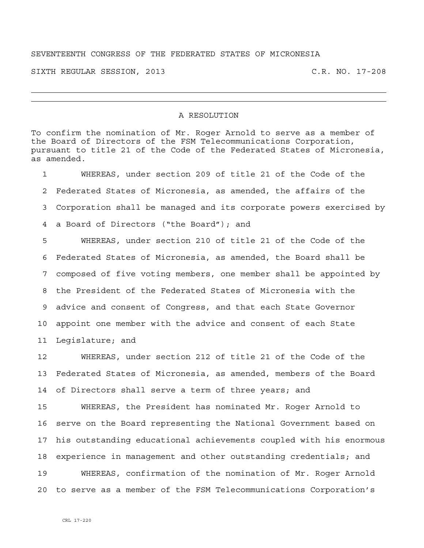## SEVENTEENTH CONGRESS OF THE FEDERATED STATES OF MICRONESIA

SIXTH REGULAR SESSION, 2013 C.R. NO. 17-208

## A RESOLUTION

To confirm the nomination of Mr. Roger Arnold to serve as a member of the Board of Directors of the FSM Telecommunications Corporation, pursuant to title 21 of the Code of the Federated States of Micronesia, as amended.

1 WHEREAS, under section 209 of title 21 of the Code of the 2 Federated States of Micronesia, as amended, the affairs of the 3 Corporation shall be managed and its corporate powers exercised by 4 a Board of Directors ("the Board"); and 5 WHEREAS, under section 210 of title 21 of the Code of the 6 Federated States of Micronesia, as amended, the Board shall be

7 composed of five voting members, one member shall be appointed by 8 the President of the Federated States of Micronesia with the 9 advice and consent of Congress, and that each State Governor 10 appoint one member with the advice and consent of each State 11 Legislature; and

12 WHEREAS, under section 212 of title 21 of the Code of the 13 Federated States of Micronesia, as amended, members of the Board 14 of Directors shall serve a term of three years; and

15 WHEREAS, the President has nominated Mr. Roger Arnold to 16 serve on the Board representing the National Government based on 17 his outstanding educational achievements coupled with his enormous 18 experience in management and other outstanding credentials; and 19 WHEREAS, confirmation of the nomination of Mr. Roger Arnold 20 to serve as a member of the FSM Telecommunications Corporation's